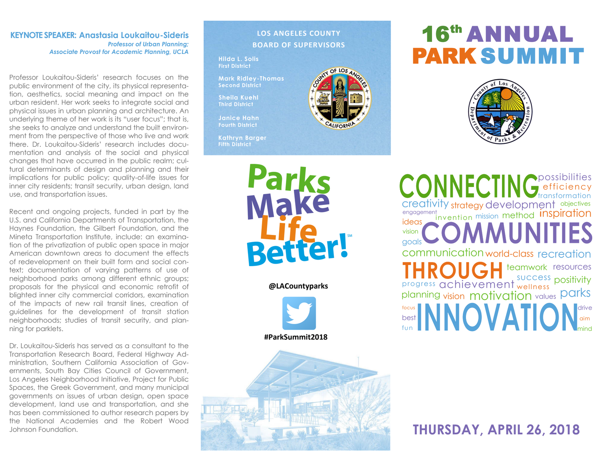#### **KEYNOTE SPEAKER: Anastasia Loukaitou-Sideris** *Professor of Urban Planning; Associate Provost for Academic Planning, UCLA*

Professor Loukaitou-Sideris' research focuses on the public environment of the city, its physical representation, aesthetics, social meaning and impact on the urban resident. Her work seeks to integrate social and physical issues in urban planning and architecture. An underlying theme of her work is its "user focus"; that is, she seeks to analyze and understand the built environment from the perspective of those who live and work there. Dr. Loukaitou-Sideris' research includes documentation and analysis of the social and physical changes that have occurred in the public realm; cultural determinants of design and planning and their implications for public policy; quality-of-life issues for inner city residents; transit security, urban design, land use, and transportation issues.

Recent and ongoing projects, funded in part by the U.S. and California Departments of Transportation, the Haynes Foundation, the Gilbert Foundation, and the Mineta Transportation Institute, include: an examination of the privatization of public open space in major American downtown areas to document the effects of redevelopment on their built form and social context; documentation of varying patterns of use of neighborhood parks among different ethnic groups; proposals for the physical and economic retrofit of blighted inner city commercial corridors, examination of the impacts of new rail transit lines, creation of guidelines for the development of transit station neighborhoods; studies of transit security, and planning for parklets.

Dr. Loukaitou-Sideris has served as a consultant to the Transportation Research Board, Federal Highway Administration, Southern California Association of Governments, South Bay Cities Council of Government, Los Angeles Neighborhood Initiative, Project for Public Spaces, the Greek Government, and many municipal governments on issues of urban design, open space development, land use and transportation, and she has been commissioned to author research papers by the National Academies and the Robert Wood

#### **LOS ANGELES COUNTY BOARD OF SUPERVISORS**

**Hilda L. Solis First District**

**Mark Ridley-Thomas Second District**

**Sheila Kuehl Third District**

**Janice Hahn Fourth District**

**Kathryn Barger Fifth District**

> Parks **Better!**

> > **@LACountyparks**





# 16<sup>th</sup> ANNUAL PARK SUMMIT



vision motivation creativity strategy development objectives mind teamwork resources communication world-class recreation efficiency goals possibilities engagement<br>ideas invention mission method Inspiration focus parks success planning ideas transformation **Progress achievement** wellness positivity fun drive best ININI JWAHICHNaim vision values